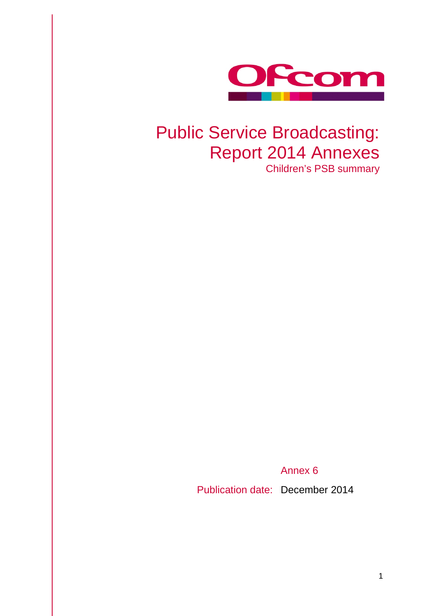

## Public Service Broadcasting: Report 2014 Annexes Children's PSB summary

Annex 6

Publication date: December 2014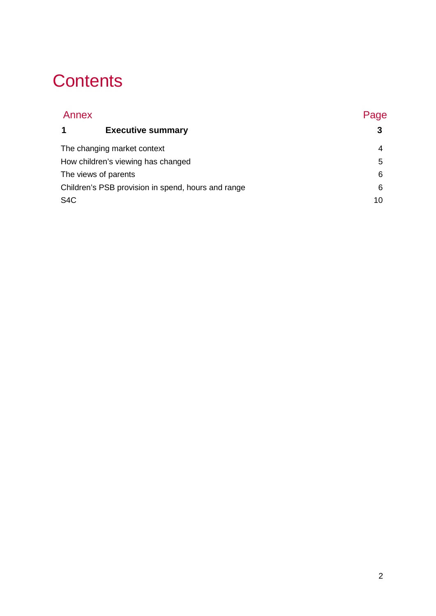## **Contents**

| Page |  |
|------|--|
|      |  |
| 4    |  |
| 5    |  |
| 6    |  |
| 6    |  |
| 10   |  |
|      |  |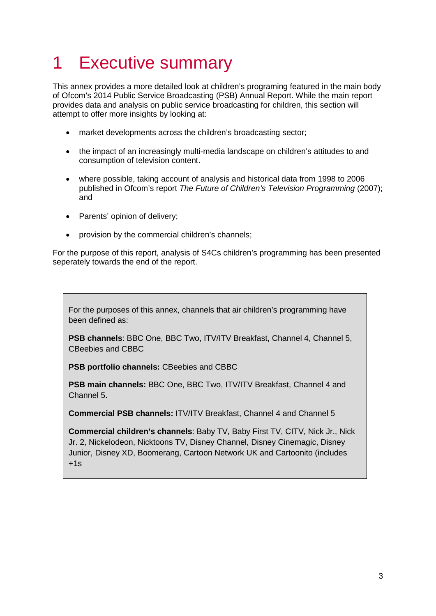# <span id="page-2-0"></span>1 Executive summary

This annex provides a more detailed look at children's programing featured in the main body of Ofcom's 2014 Public Service Broadcasting (PSB) Annual Report. While the main report provides data and analysis on public service broadcasting for children, this section will attempt to offer more insights by looking at:

- market developments across the children's broadcasting sector;
- the impact of an increasingly multi-media landscape on children's attitudes to and consumption of television content.
- where possible, taking account of analysis and historical data from 1998 to 2006 published in Ofcom's report *The Future of Children's Television Programming* (2007); and
- Parents' opinion of delivery;
- provision by the commercial children's channels;

For the purpose of this report, analysis of S4Cs children's programming has been presented seperately towards the end of the report.

For the purposes of this annex, channels that air children's programming have been defined as:

**PSB channels: BBC One, BBC Two, ITV/ITV Breakfast, Channel 4, Channel 5,** CBeebies and CBBC

**PSB portfolio channels: CBeebies and CBBC** 

**PSB main channels:** BBC One, BBC Two, ITV/ITV Breakfast, Channel 4 and Channel 5.

**Commercial PSB channels:** ITV/ITV Breakfast, Channel 4 and Channel 5

**Commercial children's channels**: Baby TV, Baby First TV, CITV, Nick Jr., Nick Jr. 2, Nickelodeon, Nicktoons TV, Disney Channel, Disney Cinemagic, Disney Junior, Disney XD, Boomerang, Cartoon Network UK and Cartoonito (includes  $+1s$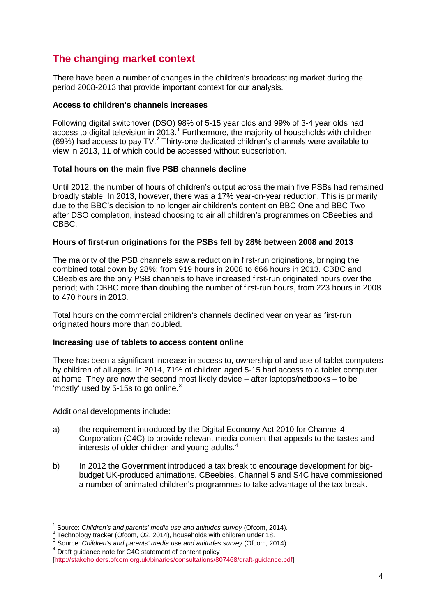## <span id="page-3-0"></span>**The changing market context**

There have been a number of changes in the children's broadcasting market during the period 2008-2013 that provide important context for our analysis.

### **Access to children's channels increases**

Following digital switchover (DSO) 98% of 5-15 year olds and 99% of 3-4 year olds had access to digital television in 20[1](#page-3-1)3.<sup>1</sup> Furthermore, the majority of households with children (69%) had access to pay TV. $^2$  $^2$  Thirty-one dedicated children's channels were available to view in 2013, 11 of which could be accessed without subscription.

## **Total hours on the main five PSB channels decline**

Until 2012, the number of hours of children's output across the main five PSBs had remained broadly stable. In 2013, however, there was a 17% year-on-year reduction. This is primarily due to the BBC's decision to no longer air children's content on BBC One and BBC Two after DSO completion, instead choosing to air all children's programmes on CBeebies and CBBC.

### **Hours of first-run originations for the PSBs fell by 28% between 2008 and 2013**

The majority of the PSB channels saw a reduction in first-run originations, bringing the combined total down by 28%; from 919 hours in 2008 to 666 hours in 2013. CBBC and CBeebies are the only PSB channels to have increased first-run originated hours over the period; with CBBC more than doubling the number of first-run hours, from 223 hours in 2008 to 470 hours in 2013.

Total hours on the commercial children's channels declined year on year as first-run originated hours more than doubled.

### **Increasing use of tablets to access content online**

There has been a significant increase in access to, ownership of and use of tablet computers by children of all ages. In 2014, 71% of children aged 5-15 had access to a tablet computer at home. They are now the second most likely device – after laptops/netbooks – to be 'mostly' used by 5-15s to go online.<sup>[3](#page-3-3)</sup>

Additional developments include:

- a) the requirement introduced by the Digital Economy Act 2010 for Channel 4 Corporation (C4C) to provide relevant media content that appeals to the tastes and interests of older children and young adults.<sup>[4](#page-3-4)</sup>
- b) In 2012 the Government introduced a tax break to encourage development for bigbudget UK-produced animations. CBeebies, Channel 5 and S4C have commissioned a number of animated children's programmes to take advantage of the tax break.

 $\overline{a}$ 

<span id="page-3-2"></span><span id="page-3-1"></span><sup>&</sup>lt;sup>1</sup> Source: *Children's and parents' media use and attitudes survey* (Ofcom, 2014).<br><sup>2</sup> Technology tracker (Ofcom, Q2, 2014), households with children under 18.<br><sup>3</sup> Source: *Children's and parents' media use and attitudes* <sup>4</sup> Draft guidance note for C4C statement of content policy

<span id="page-3-4"></span><span id="page-3-3"></span>

[<sup>\[</sup>http://stakeholders.ofcom.org.uk/binaries/consultations/807468/draft-guidance.pdf\]](http://stakeholders.ofcom.org.uk/binaries/consultations/807468/draft-guidance.pdf).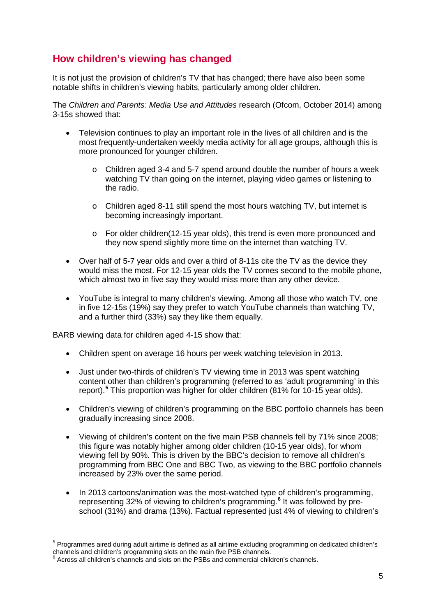## <span id="page-4-0"></span>**How children's viewing has changed**

It is not just the provision of children's TV that has changed; there have also been some notable shifts in children's viewing habits, particularly among older children.

The *Children and Parents: Media Use and Attitudes* research (Ofcom, October 2014) among 3-15s showed that:

- Television continues to play an important role in the lives of all children and is the most frequently-undertaken weekly media activity for all age groups, although this is more pronounced for younger children.
	- o Children aged 3-4 and 5-7 spend around double the number of hours a week watching TV than going on the internet, playing video games or listening to the radio.
	- o Children aged 8-11 still spend the most hours watching TV, but internet is becoming increasingly important.
	- o For older children(12-15 year olds), this trend is even more pronounced and they now spend slightly more time on the internet than watching TV.
- Over half of 5-7 year olds and over a third of 8-11s cite the TV as the device they would miss the most. For 12-15 year olds the TV comes second to the mobile phone, which almost two in five say they would miss more than any other device.
- YouTube is integral to many children's viewing. Among all those who watch TV, one in five 12-15s (19%) say they prefer to watch YouTube channels than watching TV, and a further third (33%) say they like them equally.

BARB viewing data for children aged 4-15 show that:

 $\overline{a}$ 

- Children spent on average 16 hours per week watching television in 2013.
- Just under two-thirds of children's TV viewing time in 2013 was spent watching content other than children's programming (referred to as 'adult programming' in this report). **[5](#page-4-1)** This proportion was higher for older children (81% for 10-15 year olds).
- Children's viewing of children's programming on the BBC portfolio channels has been gradually increasing since 2008.
- Viewing of children's content on the five main PSB channels fell by 71% since 2008; this figure was notably higher among older children (10-15 year olds), for whom viewing fell by 90%. This is driven by the BBC's decision to remove all children's programming from BBC One and BBC Two, as viewing to the BBC portfolio channels increased by 23% over the same period.
- In 2013 cartoons/animation was the most-watched type of children's programming, representing 32% of viewing to children's programming.**[6](#page-4-2)** It was followed by preschool (31%) and drama (13%). Factual represented just 4% of viewing to children's

<span id="page-4-1"></span><sup>&</sup>lt;sup>5</sup> Programmes aired during adult airtime is defined as all airtime excluding programming on dedicated children's channels and children's programming slots on the main five PSB channels.

<span id="page-4-2"></span> $\delta$  Across all children's channels and slots on the PSBs and commercial children's channels.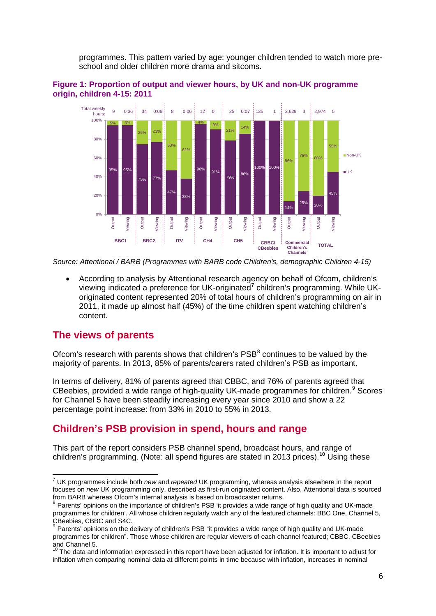programmes. This pattern varied by age; younger children tended to watch more preschool and older children more drama and sitcoms.





*Source: Attentional / BARB (Programmes with BARB code Children's, demographic Children 4-15)*

• According to analysis by Attentional research agency on behalf of Ofcom, children's viewing indicated a preference for UK-originated**[7](#page-5-2)** children's programming. While UKoriginated content represented 20% of total hours of children's programming on air in 2011, it made up almost half (45%) of the time children spent watching children's content.

## <span id="page-5-0"></span>**The views of parents**

Ofcom's research with parents shows that children's  $PSB<sup>8</sup>$  $PSB<sup>8</sup>$  $PSB<sup>8</sup>$  continues to be valued by the majority of parents. In 2013, 85% of parents/carers rated children's PSB as important.

In terms of delivery, 81% of parents agreed that CBBC, and 76% of parents agreed that CBeebies, provided a wide range of high-quality UK-made programmes for children.<sup>[9](#page-5-4)</sup> Scores for Channel 5 have been steadily increasing every year since 2010 and show a 22 percentage point increase: from 33% in 2010 to 55% in 2013.

## <span id="page-5-1"></span>**Children's PSB provision in spend, hours and range**

This part of the report considers PSB channel spend, broadcast hours, and range of children's programming. (Note: all spend figures are stated in 2013 prices).**[10](#page-5-5)** Using these

<span id="page-5-2"></span><sup>7</sup> UK programmes include both *new* and *repeated* UK programming, whereas analysis elsewhere in the report focuses on *new* UK programming only, described as first-run originated content. Also, Attentional data is sourced from BARB whereas Ofcom's internal analysis is based on broadcaster returns.  $\overline{a}$ 

<span id="page-5-3"></span><sup>8</sup> Parents' opinions on the importance of children's PSB 'it provides a wide range of high quality and UK-made programmes for children'. All whose children regularly watch any of the featured channels: BBC One, Channel 5, CBeebies, CBBC and S4C.

<span id="page-5-4"></span>Parents' opinions on the delivery of children's PSB "it provides a wide range of high quality and UK-made programmes for children". Those whose children are regular viewers of each channel featured; CBBC, CBeebies<br>and Channel 5.

<span id="page-5-5"></span>The data and information expressed in this report have been adjusted for inflation. It is important to adjust for inflation when comparing nominal data at different points in time because with inflation, increases in nominal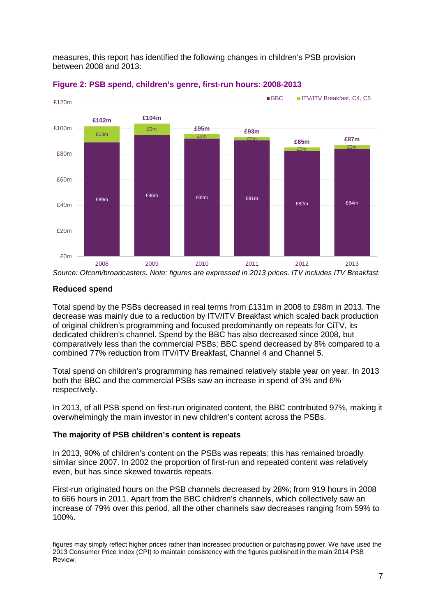measures, this report has identified the following changes in children's PSB provision between 2008 and 2013:





*Source: Ofcom/broadcasters. Note: figures are expressed in 2013 prices. ITV includes ITV Breakfast.*

## **Reduced spend**

-

Total spend by the PSBs decreased in real terms from £131m in 2008 to £98m in 2013. The decrease was mainly due to a reduction by ITV/ITV Breakfast which scaled back production of original children's programming and focused predominantly on repeats for CiTV, its dedicated children's channel. Spend by the BBC has also decreased since 2008, but comparatively less than the commercial PSBs; BBC spend decreased by 8% compared to a combined 77% reduction from ITV/ITV Breakfast, Channel 4 and Channel 5.

Total spend on children's programming has remained relatively stable year on year. In 2013 both the BBC and the commercial PSBs saw an increase in spend of 3% and 6% respectively.

In 2013, of all PSB spend on first-run originated content, the BBC contributed 97%, making it overwhelmingly the main investor in new children's content across the PSBs.

### **The majority of PSB children's content is repeats**

In 2013, 90% of children's content on the PSBs was repeats; this has remained broadly similar since 2007. In 2002 the proportion of first-run and repeated content was relatively even, but has since skewed towards repeats.

First-run originated hours on the PSB channels decreased by 28%; from 919 hours in 2008 to 666 hours in 2011. Apart from the BBC children's channels, which collectively saw an increase of 79% over this period, all the other channels saw decreases ranging from 59% to 100%.

figures may simply reflect higher prices rather than increased production or purchasing power. We have used the 2013 Consumer Price Index (CPI) to maintain consistency with the figures published in the main 2014 PSB Review.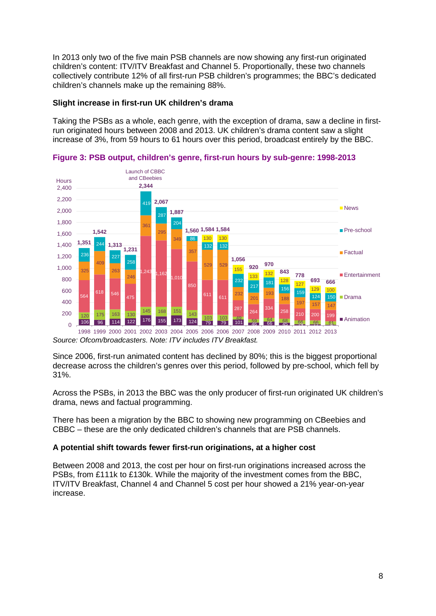In 2013 only two of the five main PSB channels are now showing any first-run originated children's content: ITV/ITV Breakfast and Channel 5. Proportionally, these two channels collectively contribute 12% of all first-run PSB children's programmes; the BBC's dedicated children's channels make up the remaining 88%.

## **Slight increase in first-run UK children's drama**

Taking the PSBs as a whole, each genre, with the exception of drama, saw a decline in firstrun originated hours between 2008 and 2013. UK children's drama content saw a slight increase of 3%, from 59 hours to 61 hours over this period, broadcast entirely by the BBC.



**Figure 3: PSB output, children's genre, first-run hours by sub-genre: 1998-2013**

*Source: Ofcom/broadcasters. Note: ITV includes ITV Breakfast.*

Since 2006, first-run animated content has declined by 80%; this is the biggest proportional decrease across the children's genres over this period, followed by pre-school, which fell by 31%.

Across the PSBs, in 2013 the BBC was the only producer of first-run originated UK children's drama, news and factual programming.

There has been a migration by the BBC to showing new programming on CBeebies and CBBC – these are the only dedicated children's channels that are PSB channels.

### **A potential shift towards fewer first-run originations, at a higher cost**

Between 2008 and 2013, the cost per hour on first-run originations increased across the PSBs, from £111k to £130k. While the majority of the investment comes from the BBC, ITV/ITV Breakfast, Channel 4 and Channel 5 cost per hour showed a 21% year-on-year increase.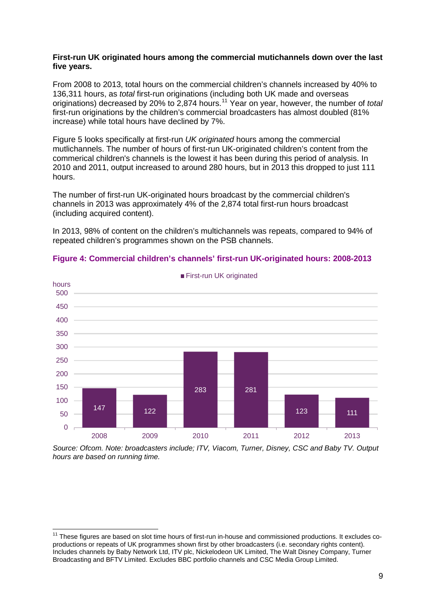#### **First-run UK originated hours among the commercial mutichannels down over the last five years.**

From 2008 to 2013, total hours on the commercial children's channels increased by 40% to 136,311 hours, as *total* first-run originations (including both UK made and overseas originations) decreased by 20% to 2,874 hours.[11](#page-8-0) Year on year, however, the number of *total*  first-run originations by the children's commercial broadcasters has almost doubled (81% increase) while total hours have declined by 7%.

Figure 5 looks specifically at first-run *UK originated* hours among the commercial mutlichannels. The number of hours of first-run UK-originated children's content from the commerical children's channels is the lowest it has been during this period of analysis. In 2010 and 2011, output increased to around 280 hours, but in 2013 this dropped to just 111 hours.

The number of first-run UK-originated hours broadcast by the commercial children's channels in 2013 was approximately 4% of the 2,874 total first-run hours broadcast (including acquired content).

In 2013, 98% of content on the children's multichannels was repeats, compared to 94% of repeated children's programmes shown on the PSB channels.



#### **Figure 4: Commercial children's channels' first-run UK-originated hours: 2008-2013**

*Source: Ofcom. Note: broadcasters include; ITV, Viacom, Turner, Disney, CSC and Baby TV. Output hours are based on running time.*

 $\overline{1}$ 

<span id="page-8-0"></span><sup>&</sup>lt;sup>11</sup> These figures are based on slot time hours of first-run in-house and commissioned productions. It excludes coproductions or repeats of UK programmes shown first by other broadcasters (i.e. secondary rights content). Includes channels by Baby Network Ltd, ITV plc, Nickelodeon UK Limited, The Walt Disney Company, Turner Broadcasting and BFTV Limited. Excludes BBC portfolio channels and CSC Media Group Limited.